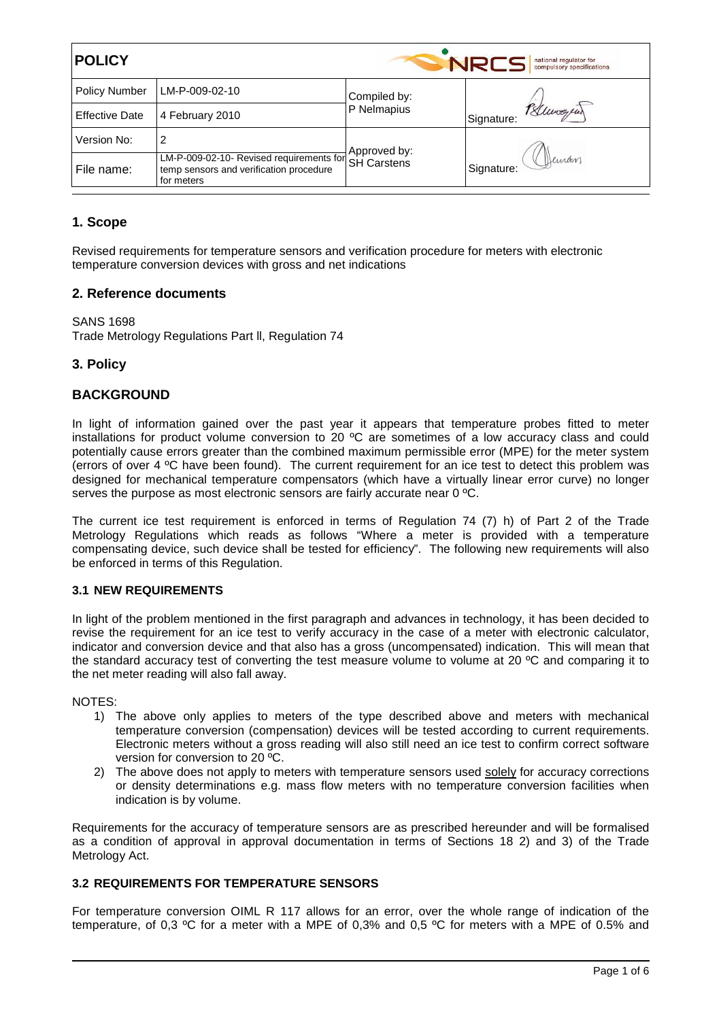| <b>POLICY</b><br><b>NRCS</b><br>national regulator for<br>compulsory specifications |                                                                                                   |                    |                         |  |
|-------------------------------------------------------------------------------------|---------------------------------------------------------------------------------------------------|--------------------|-------------------------|--|
| <b>Policy Number</b>                                                                | LM-P-009-02-10                                                                                    | Compiled by:       |                         |  |
| <b>Effective Date</b>                                                               | 4 February 2010                                                                                   | P Nelmapius        | Bluwayear<br>Signature: |  |
| Version No:                                                                         | 2                                                                                                 | Approved by:       |                         |  |
| File name:                                                                          | LM-P-009-02-10- Revised requirements for<br>temp sensors and verification procedure<br>for meters | <b>SH Carstens</b> | Deman<br>Signature:     |  |

# **1. Scope**

Revised requirements for temperature sensors and verification procedure for meters with electronic temperature conversion devices with gross and net indications

# **2. Reference documents**

SANS 1698 Trade Metrology Regulations Part ll, Regulation 74

# **3. Policy**

# **BACKGROUND**

In light of information gained over the past year it appears that temperature probes fitted to meter installations for product volume conversion to 20 ºC are sometimes of a low accuracy class and could potentially cause errors greater than the combined maximum permissible error (MPE) for the meter system (errors of over 4 ºC have been found). The current requirement for an ice test to detect this problem was designed for mechanical temperature compensators (which have a virtually linear error curve) no longer serves the purpose as most electronic sensors are fairly accurate near 0 °C.

The current ice test requirement is enforced in terms of Regulation 74 (7) h) of Part 2 of the Trade Metrology Regulations which reads as follows "Where a meter is provided with a temperature compensating device, such device shall be tested for efficiency". The following new requirements will also be enforced in terms of this Regulation.

## **3.1 NEW REQUIREMENTS**

In light of the problem mentioned in the first paragraph and advances in technology, it has been decided to revise the requirement for an ice test to verify accuracy in the case of a meter with electronic calculator, indicator and conversion device and that also has a gross (uncompensated) indication. This will mean that the standard accuracy test of converting the test measure volume to volume at 20 ºC and comparing it to the net meter reading will also fall away.

#### NOTES:

- 1) The above only applies to meters of the type described above and meters with mechanical temperature conversion (compensation) devices will be tested according to current requirements. Electronic meters without a gross reading will also still need an ice test to confirm correct software version for conversion to 20 ºC.
- 2) The above does not apply to meters with temperature sensors used solely for accuracy corrections or density determinations e.g. mass flow meters with no temperature conversion facilities when indication is by volume.

Requirements for the accuracy of temperature sensors are as prescribed hereunder and will be formalised as a condition of approval in approval documentation in terms of Sections 18 2) and 3) of the Trade Metrology Act.

## **3.2 REQUIREMENTS FOR TEMPERATURE SENSORS**

For temperature conversion OIML R 117 allows for an error, over the whole range of indication of the temperature, of 0,3 ºC for a meter with a MPE of 0,3% and 0,5 ºC for meters with a MPE of 0.5% and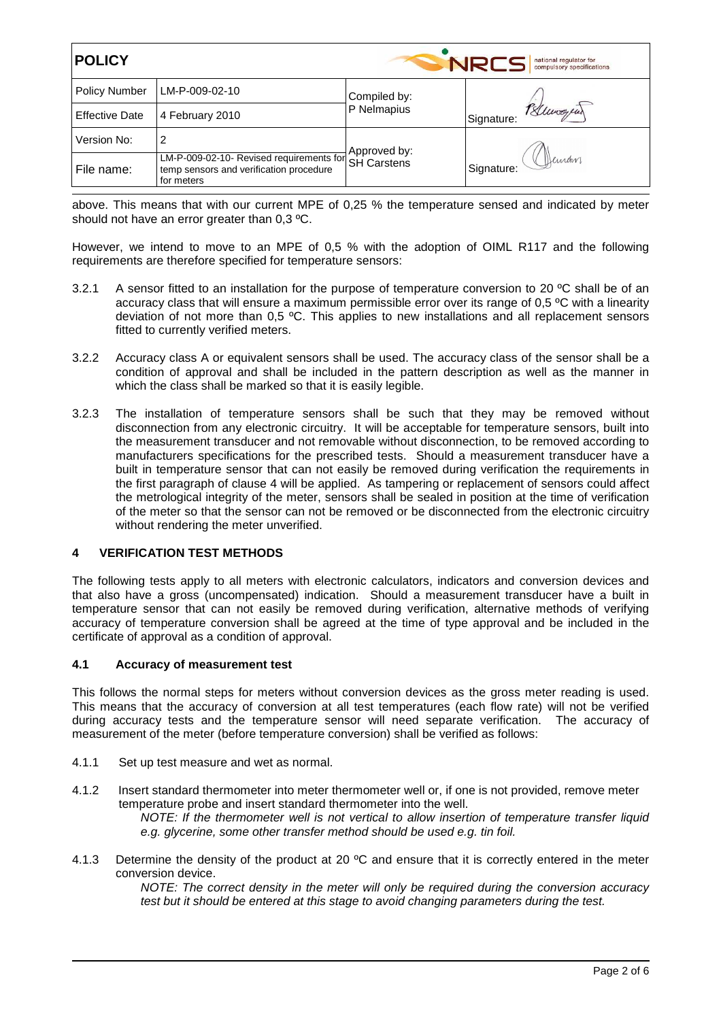| <b>POLICY</b><br><b>NRCS</b><br>national regulator for<br>compulsory specifications |                                                                                                               |              |                         |  |
|-------------------------------------------------------------------------------------|---------------------------------------------------------------------------------------------------------------|--------------|-------------------------|--|
| <b>Policy Number</b>                                                                | LM-P-009-02-10                                                                                                | Compiled by: |                         |  |
| <b>Effective Date</b>                                                               | 4 February 2010                                                                                               | P Nelmapius  | Bluwayear<br>Signature: |  |
| Version No:                                                                         | 2                                                                                                             | Approved by: |                         |  |
| File name:                                                                          | LM-P-009-02-10- Revised requirements for SH Carstens<br>temp sensors and verification procedure<br>for meters |              | Deman<br>Signature:     |  |

above. This means that with our current MPE of 0,25 % the temperature sensed and indicated by meter should not have an error greater than 0,3 ºC.

However, we intend to move to an MPE of 0,5 % with the adoption of OIML R117 and the following requirements are therefore specified for temperature sensors:

- 3.2.1 A sensor fitted to an installation for the purpose of temperature conversion to 20 °C shall be of an accuracy class that will ensure a maximum permissible error over its range of 0,5 ºC with a linearity deviation of not more than 0,5 ºC. This applies to new installations and all replacement sensors fitted to currently verified meters.
- 3.2.2 Accuracy class A or equivalent sensors shall be used. The accuracy class of the sensor shall be a condition of approval and shall be included in the pattern description as well as the manner in which the class shall be marked so that it is easily legible.
- 3.2.3 The installation of temperature sensors shall be such that they may be removed without disconnection from any electronic circuitry. It will be acceptable for temperature sensors, built into the measurement transducer and not removable without disconnection, to be removed according to manufacturers specifications for the prescribed tests. Should a measurement transducer have a built in temperature sensor that can not easily be removed during verification the requirements in the first paragraph of clause 4 will be applied. As tampering or replacement of sensors could affect the metrological integrity of the meter, sensors shall be sealed in position at the time of verification of the meter so that the sensor can not be removed or be disconnected from the electronic circuitry without rendering the meter unverified.

## **4 VERIFICATION TEST METHODS**

The following tests apply to all meters with electronic calculators, indicators and conversion devices and that also have a gross (uncompensated) indication. Should a measurement transducer have a built in temperature sensor that can not easily be removed during verification, alternative methods of verifying accuracy of temperature conversion shall be agreed at the time of type approval and be included in the certificate of approval as a condition of approval.

#### **4.1 Accuracy of measurement test**

This follows the normal steps for meters without conversion devices as the gross meter reading is used. This means that the accuracy of conversion at all test temperatures (each flow rate) will not be verified during accuracy tests and the temperature sensor will need separate verification. The accuracy of measurement of the meter (before temperature conversion) shall be verified as follows:

- 4.1.1 Set up test measure and wet as normal.
- 4.1.2 Insert standard thermometer into meter thermometer well or, if one is not provided, remove meter temperature probe and insert standard thermometer into the well. NOTE: If the thermometer well is not vertical to allow insertion of temperature transfer liquid e.g. glycerine, some other transfer method should be used e.g. tin foil.
- 4.1.3 Determine the density of the product at 20 °C and ensure that it is correctly entered in the meter conversion device.

NOTE: The correct density in the meter will only be required during the conversion accuracy test but it should be entered at this stage to avoid changing parameters during the test.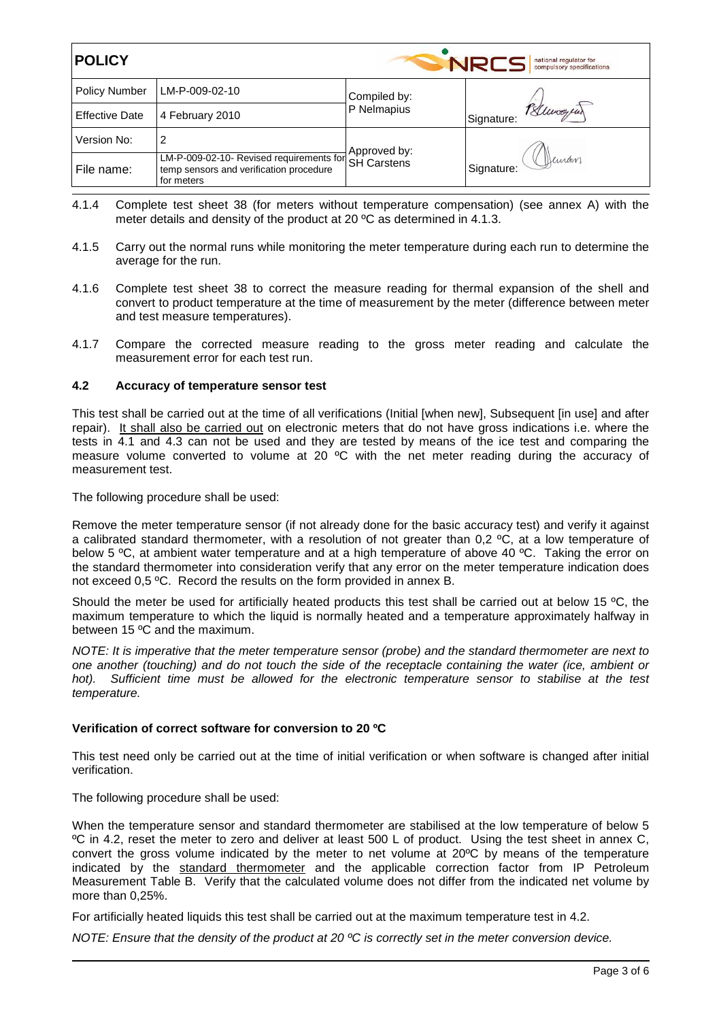| <b>POLICY</b><br>NRCS<br>national regulator for<br>compulsory specifications |                                                                                                               |              |                         |
|------------------------------------------------------------------------------|---------------------------------------------------------------------------------------------------------------|--------------|-------------------------|
| <b>Policy Number</b>                                                         | LM-P-009-02-10                                                                                                | Compiled by: |                         |
| <b>Effective Date</b>                                                        | 4 February 2010                                                                                               | P Nelmapius  | Bluwayear<br>Signature: |
| Version No:                                                                  | 2                                                                                                             | Approved by: |                         |
| File name:                                                                   | LM-P-009-02-10- Revised requirements for SH Carstens<br>temp sensors and verification procedure<br>for meters |              | Deman<br>Signature:     |

- 4.1.4 Complete test sheet 38 (for meters without temperature compensation) (see annex A) with the meter details and density of the product at 20 ºC as determined in 4.1.3.
- 4.1.5 Carry out the normal runs while monitoring the meter temperature during each run to determine the average for the run.
- 4.1.6 Complete test sheet 38 to correct the measure reading for thermal expansion of the shell and convert to product temperature at the time of measurement by the meter (difference between meter and test measure temperatures).
- 4.1.7 Compare the corrected measure reading to the gross meter reading and calculate the measurement error for each test run.

## **4.2 Accuracy of temperature sensor test**

This test shall be carried out at the time of all verifications (Initial [when new], Subsequent [in use] and after repair). It shall also be carried out on electronic meters that do not have gross indications i.e. where the tests in 4.1 and 4.3 can not be used and they are tested by means of the ice test and comparing the measure volume converted to volume at 20<sup>'o</sup>C with the net meter reading during the accuracy of measurement test.

The following procedure shall be used:

Remove the meter temperature sensor (if not already done for the basic accuracy test) and verify it against a calibrated standard thermometer, with a resolution of not greater than 0,2 °C, at a low temperature of below 5 °C, at ambient water temperature and at a high temperature of above 40 °C. Taking the error on the standard thermometer into consideration verify that any error on the meter temperature indication does not exceed 0,5 ºC. Record the results on the form provided in annex B.

Should the meter be used for artificially heated products this test shall be carried out at below 15 °C, the maximum temperature to which the liquid is normally heated and a temperature approximately halfway in between 15 ºC and the maximum.

NOTE: It is imperative that the meter temperature sensor (probe) and the standard thermometer are next to one another (touching) and do not touch the side of the receptacle containing the water (ice, ambient or hot). Sufficient time must be allowed for the electronic temperature sensor to stabilise at the test temperature.

#### **Verification of correct software for conversion to 20 ºC**

This test need only be carried out at the time of initial verification or when software is changed after initial verification.

The following procedure shall be used:

When the temperature sensor and standard thermometer are stabilised at the low temperature of below 5 ºC in 4.2, reset the meter to zero and deliver at least 500 L of product. Using the test sheet in annex C, convert the gross volume indicated by the meter to net volume at 20ºC by means of the temperature indicated by the standard thermometer and the applicable correction factor from IP Petroleum Measurement Table B. Verify that the calculated volume does not differ from the indicated net volume by more than 0,25%.

For artificially heated liquids this test shall be carried out at the maximum temperature test in 4.2.

NOTE: Ensure that the density of the product at 20 °C is correctly set in the meter conversion device.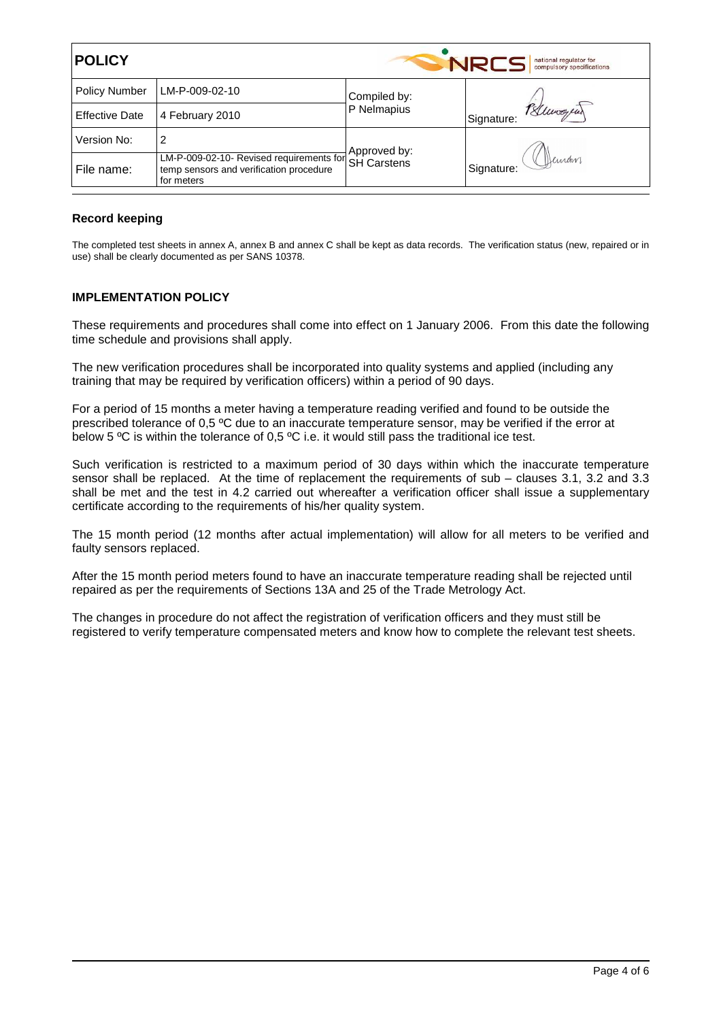| <b>POLICY</b><br><b>NRCS</b><br>national regulator for<br>compulsory specifications |                                                                                                               |              |                         |  |
|-------------------------------------------------------------------------------------|---------------------------------------------------------------------------------------------------------------|--------------|-------------------------|--|
| <b>Policy Number</b>                                                                | LM-P-009-02-10                                                                                                | Compiled by: |                         |  |
| <b>Effective Date</b>                                                               | 4 February 2010                                                                                               | P Nelmapius  | Bluwayear<br>Signature: |  |
| Version No:                                                                         | 2                                                                                                             | Approved by: |                         |  |
| File name:                                                                          | LM-P-009-02-10- Revised requirements for SH Carstens<br>temp sensors and verification procedure<br>for meters |              | Deman<br>Signature:     |  |

## **Record keeping**

The completed test sheets in annex A, annex B and annex C shall be kept as data records. The verification status (new, repaired or in use) shall be clearly documented as per SANS 10378.

## **IMPLEMENTATION POLICY**

These requirements and procedures shall come into effect on 1 January 2006. From this date the following time schedule and provisions shall apply.

The new verification procedures shall be incorporated into quality systems and applied (including any training that may be required by verification officers) within a period of 90 days.

For a period of 15 months a meter having a temperature reading verified and found to be outside the prescribed tolerance of 0,5 ºC due to an inaccurate temperature sensor, may be verified if the error at below 5 ºC is within the tolerance of 0,5 ºC i.e. it would still pass the traditional ice test.

Such verification is restricted to a maximum period of 30 days within which the inaccurate temperature sensor shall be replaced. At the time of replacement the requirements of sub – clauses 3.1, 3.2 and 3.3 shall be met and the test in 4.2 carried out whereafter a verification officer shall issue a supplementary certificate according to the requirements of his/her quality system.

The 15 month period (12 months after actual implementation) will allow for all meters to be verified and faulty sensors replaced.

After the 15 month period meters found to have an inaccurate temperature reading shall be rejected until repaired as per the requirements of Sections 13A and 25 of the Trade Metrology Act.

The changes in procedure do not affect the registration of verification officers and they must still be registered to verify temperature compensated meters and know how to complete the relevant test sheets.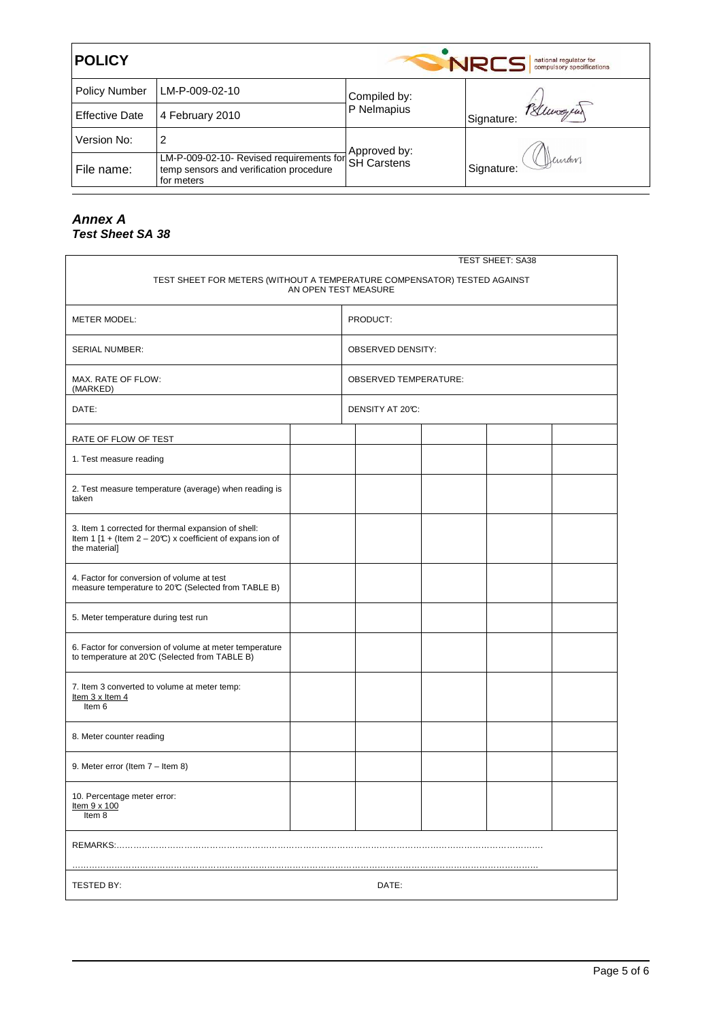| <b>POLICY</b><br>NRCS<br>national regulator for<br>compulsory specifications |                                                                                                               |              |                         |  |
|------------------------------------------------------------------------------|---------------------------------------------------------------------------------------------------------------|--------------|-------------------------|--|
| <b>Policy Number</b>                                                         | LM-P-009-02-10                                                                                                | Compiled by: |                         |  |
| <b>Effective Date</b>                                                        | 4 February 2010                                                                                               | P Nelmapius  | Bluwayear<br>Signature: |  |
| Version No:                                                                  | 2                                                                                                             | Approved by: |                         |  |
| File name:                                                                   | LM-P-009-02-10- Revised requirements for SH Carstens<br>temp sensors and verification procedure<br>for meters |              | Deinam<br>Signature:    |  |

# **Annex A Test Sheet SA 38**

| <b>TEST SHEET: SA38</b>                                                                                                               |  |                              |                          |  |  |  |
|---------------------------------------------------------------------------------------------------------------------------------------|--|------------------------------|--------------------------|--|--|--|
| TEST SHEET FOR METERS (WITHOUT A TEMPERATURE COMPENSATOR) TESTED AGAINST<br>AN OPEN TEST MEASURE                                      |  |                              |                          |  |  |  |
| <b>METER MODEL:</b>                                                                                                                   |  | PRODUCT:                     |                          |  |  |  |
| <b>SERIAL NUMBER:</b>                                                                                                                 |  |                              | <b>OBSERVED DENSITY:</b> |  |  |  |
| MAX. RATE OF FLOW:<br>(MARKED)                                                                                                        |  | <b>OBSERVED TEMPERATURE:</b> |                          |  |  |  |
| DATE:                                                                                                                                 |  | DENSITY AT 20°C:             |                          |  |  |  |
| RATE OF FLOW OF TEST                                                                                                                  |  |                              |                          |  |  |  |
| 1. Test measure reading                                                                                                               |  |                              |                          |  |  |  |
| 2. Test measure temperature (average) when reading is<br>taken                                                                        |  |                              |                          |  |  |  |
| 3. Item 1 corrected for thermal expansion of shell:<br>Item 1 [1 + (Item $2 - 20$ °C) x coefficient of expans ion of<br>the material] |  |                              |                          |  |  |  |
| 4. Factor for conversion of volume at test<br>measure temperature to 20°C (Selected from TABLE B)                                     |  |                              |                          |  |  |  |
| 5. Meter temperature during test run                                                                                                  |  |                              |                          |  |  |  |
| 6. Factor for conversion of volume at meter temperature<br>to temperature at 20°C (Selected from TABLE B)                             |  |                              |                          |  |  |  |
| 7. Item 3 converted to volume at meter temp:<br>Item $3 \times$ Item $4$<br>Item 6                                                    |  |                              |                          |  |  |  |
| 8. Meter counter reading                                                                                                              |  |                              |                          |  |  |  |
| 9. Meter error (Item 7 - Item 8)                                                                                                      |  |                              |                          |  |  |  |
| 10. Percentage meter error:<br>Item 9 x 100<br>Item 8                                                                                 |  |                              |                          |  |  |  |
|                                                                                                                                       |  |                              |                          |  |  |  |
| TESTED BY:                                                                                                                            |  |                              | DATE:                    |  |  |  |